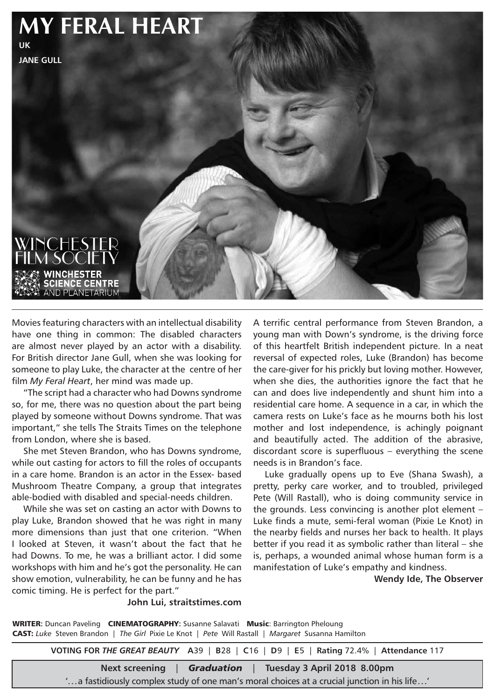

Movies featuring characters with an intellectual disability have one thing in common: The disabled characters are almost never played by an actor with a disability. For British director Jane Gull, when she was looking for someone to play Luke, the character at the centre of her film *My Feral Heart*, her mind was made up.

"The script had a character who had Downs syndrome so, for me, there was no question about the part being played by someone without Downs syndrome. That was important," she tells The Straits Times on the telephone from London, where she is based.

She met Steven Brandon, who has Downs syndrome, while out casting for actors to fill the roles of occupants in a care home. Brandon is an actor in the Essex- based Mushroom Theatre Company, a group that integrates able-bodied with disabled and special-needs children.

While she was set on casting an actor with Downs to play Luke, Brandon showed that he was right in many more dimensions than just that one criterion. "When I looked at Steven, it wasn't about the fact that he had Downs. To me, he was a brilliant actor. I did some workshops with him and he's got the personality. He can show emotion, vulnerability, he can be funny and he has comic timing. He is perfect for the part."

A terrific central performance from Steven Brandon, a young man with Down's syndrome, is the driving force of this heartfelt British independent picture. In a neat reversal of expected roles, Luke (Brandon) has become the care-giver for his prickly but loving mother. However, when she dies, the authorities ignore the fact that he can and does live independently and shunt him into a residential care home. A sequence in a car, in which the camera rests on Luke's face as he mourns both his lost mother and lost independence, is achingly poignant and beautifully acted. The addition of the abrasive, discordant score is superfluous – everything the scene needs is in Brandon's face.

Luke gradually opens up to Eve (Shana Swash), a pretty, perky care worker, and to troubled, privileged Pete (Will Rastall), who is doing community service in the grounds. Less convincing is another plot element – Luke finds a mute, semi-feral woman (Pixie Le Knot) in the nearby fields and nurses her back to health. It plays better if you read it as symbolic rather than literal – she is, perhaps, a wounded animal whose human form is a manifestation of Luke's empathy and kindness.

 **Wendy Ide, The Observer**

**John Lui, straitstimes.com** 

WRITER: Duncan Paveling CINEMATOGRAPHY: Susanne Salavati Music: Barrington Pheloung CAST: *Luke* Steven Brandon | *The Girl* Pixie Le Knot | *Pete* Will Rastall | *Margaret* Susanna Hamilton

**VOTING FOR** *THE GREAT BEAUTY* **A**39 | **B**28 | **C**16 | **D**9 | **E**5 | **Rating** 72.4% | **Attendance** 117

**Next screening** | *Graduation* | **Tuesday 3 April 2018 8.00pm**

'...a fastidiously complex study of one man's moral choices at a crucial junction in his life...'